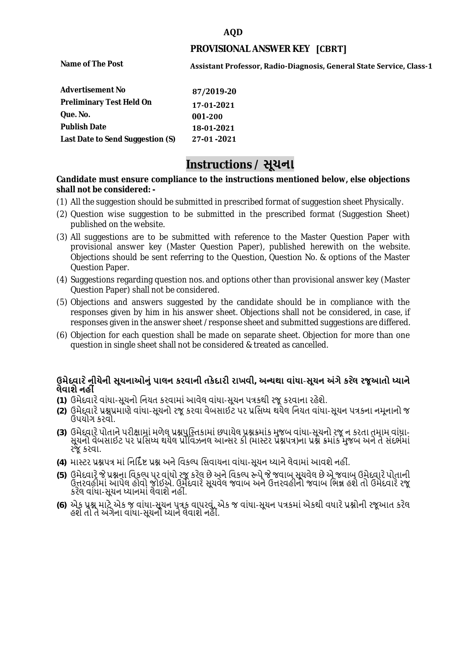### **AQD**

### **PROVISIONAL ANSWER KEY [CBRT]**

**Name of The Post** 

**Assistant Professor, Radio-Diagnosis, General State Service, Class-1** 

| <b>Advertisement No</b>          | 87/2019-20 |
|----------------------------------|------------|
| <b>Preliminary Test Held On</b>  | 17-01-2021 |
| Que. No.                         | 001-200    |
| <b>Publish Date</b>              | 18-01-2021 |
| Last Date to Send Suggestion (S) | 27-01-2021 |

# **Instructions / સૂચના**

#### **shall not be considered: - Candidate must ensure compliance to the instructions mentioned below, else objections**

- (1) All the suggestion should be submitted in prescribed format of suggestion sheet Physically.
- (2) Question wise suggestion to be submitted in the prescribed format (Suggestion Sheet) published on the website.
- (3) All suggestions are to be submitted with reference to the Master Question Paper with provisional answer key (Master Question Paper), published herewith on the website. Objections should be sent referring to the Question, Question No. & options of the Master Question Paper.
- (4) Suggestions regarding question nos. and options other than provisional answer key (Master Question Paper) shall not be considered.
- (5) Objections and answers suggested by the candidate should be in compliance with the responses given by him in his answer sheet. Objections shall not be considered, in case, if responses given in the answer sheet /response sheet and submitted suggestions are differed.
- (6) Objection for each question shall be made on separate sheet. Objection for more than one question in single sheet shall not be considered & treated as cancelled.

## **ઉમેદવાર ેનીચેની સૂચનાઓનું પાલન કરવાની તકેદારી રાખવી, અլયથા વાંધા-સૂચન અંગેકર ેલ રજૂઆતો իયાને લેવાશેનહી ં**

- **(1)** ઉમેદવારેવાંધા**-**સૂચનો િનયત કરવામાં આવેલ વાંધા-સૂચન પԋકથી રજૂ કરવાના રહેશે**.**
- **(2)** ઉમેદવારેԐՇԐમાણે વાંધા**-**સૂચનો રજૂકરવા વેબસાઈટ પર Ԑિસիધ થયેલ િનયત વાંધા-સૂચન પԋકના નમૂનાનો જ ઉપયોગ કરવો**.**
- **(3)** ઉમેદવારેપોતાનેપરીԟામાંમળેલ ԐՇપુિչતકામાંછપાયેલ ԐՇԃમાંક મુજબ વાંધા**-**સૂચનો રજૂન કરતા તમામ વાંધા**-** સૂચનો વેબસાઈટ પર પ્રસિધ્ધ થયેલ પ્રોવિઝનલ આન્સર કી (માસ્ટર પ્રૅશ્નપત્ર)ના પ્રશ્ને ક્રમાંક મુજબ અને તે સંદર્ભમાં રજૂકરવા**.**
- **(4)** માչટર ԐՇપԋ માંિનિદӪ Ջ ԐՇ અનેિવકճપ િસવાયના વાંધા**-**સૂચન իયાનેલેવામાંઆવશેનહીં**.**
- (5) ઉમેદવારે જે પ્રશ્નના વિકલ્પ પર વાંધો રજૂ કરેલ છે અને વિકલ્પ રૂપે જે જવાબ સૂચવેલ છે એ જવાબ ઉમેદવારે પોતાની ઉԱરવહીમાંઆપેલ હોવો જોઈએ**.** ઉમેદવારેસૂચવેલ જવાબ અનેઉԱરવહીનો જવાબ િભՂ હશેતો ઉમેદવારેરજૂ કરેલ વાંધા**-**સૂચન իયાનમાંલેવાશેનહીં**.**
- **(6)** એક ԐՇ માટેએક જ વાંધા**-**સૂચન પԋક વાપરવું**.** એક જ વાંધા**-**સૂચન પԋકમાંએકથી વધારેԐՇોની રજૂઆત કરેલ હશેતો તેઅંગેના વાંધા**-**સૂચનો իયાનેલેવાશેનહીં**.**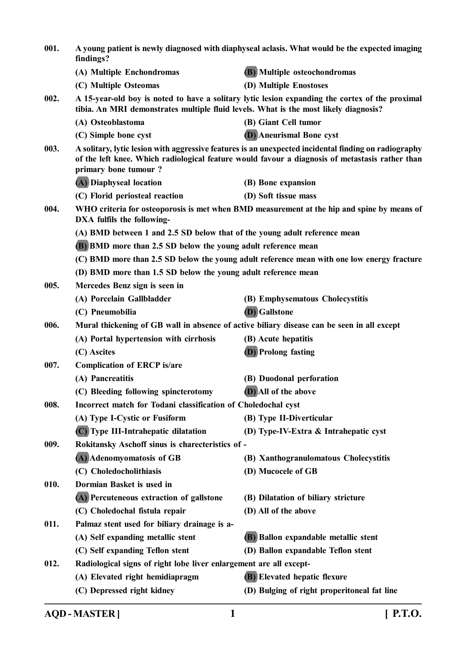| 001. | A young patient is newly diagnosed with diaphyseal aclasis. What would be the expected imaging<br>findings? |                                                                                                                                                                                                         |
|------|-------------------------------------------------------------------------------------------------------------|---------------------------------------------------------------------------------------------------------------------------------------------------------------------------------------------------------|
|      | (A) Multiple Enchondromas                                                                                   | (B) Multiple osteochondromas                                                                                                                                                                            |
|      | (C) Multiple Osteomas                                                                                       | (D) Multiple Enostoses                                                                                                                                                                                  |
| 002. | tibia. An MRI demonstrates multiple fluid levels. What is the most likely diagnosis?                        | A 15-year-old boy is noted to have a solitary lytic lesion expanding the cortex of the proximal                                                                                                         |
|      | (A) Osteoblastoma                                                                                           | (B) Giant Cell tumor                                                                                                                                                                                    |
|      | (C) Simple bone cyst                                                                                        | <b>D</b> ) Aneurismal Bone cyst                                                                                                                                                                         |
| 003. | primary bone tumour?                                                                                        | A solitary, lytic lesion with aggressive features is an unexpected incidental finding on radiography<br>of the left knee. Which radiological feature would favour a diagnosis of metastasis rather than |
|      | (A) Diaphyseal location                                                                                     | (B) Bone expansion                                                                                                                                                                                      |
|      | (C) Florid periosteal reaction                                                                              | (D) Soft tissue mass                                                                                                                                                                                    |
| 004. | DXA fulfils the following-                                                                                  | WHO criteria for osteoporosis is met when BMD measurement at the hip and spine by means of                                                                                                              |
|      | (A) BMD between 1 and 2.5 SD below that of the young adult reference mean                                   |                                                                                                                                                                                                         |
|      | (B) BMD more than 2.5 SD below the young adult reference mean                                               |                                                                                                                                                                                                         |
|      |                                                                                                             | (C) BMD more than 2.5 SD below the young adult reference mean with one low energy fracture                                                                                                              |
|      | (D) BMD more than 1.5 SD below the young adult reference mean                                               |                                                                                                                                                                                                         |
| 005. | Mercedes Benz sign is seen in                                                                               |                                                                                                                                                                                                         |
|      | (A) Porcelain Gallbladder                                                                                   | (B) Emphysematous Cholecystitis                                                                                                                                                                         |
|      | (C) Pneumobilia                                                                                             | (D) Gallstone                                                                                                                                                                                           |
| 006. | Mural thickening of GB wall in absence of active biliary disease can be seen in all except                  |                                                                                                                                                                                                         |
|      | (A) Portal hypertension with cirrhosis                                                                      | (B) Acute hepatitis                                                                                                                                                                                     |
|      | (C) Ascites                                                                                                 | <b>(D)</b> Prolong fasting                                                                                                                                                                              |
| 007. | <b>Complication of ERCP is/are</b>                                                                          |                                                                                                                                                                                                         |
|      | (A) Pancreatitis                                                                                            | (B) Duodonal perforation                                                                                                                                                                                |
|      | (C) Bleeding following spincterotomy                                                                        | (D) All of the above                                                                                                                                                                                    |
| 008. | Incorrect match for Todani classification of Choledochal cyst                                               |                                                                                                                                                                                                         |
|      | (A) Type I-Cystic or Fusiform                                                                               | (B) Type II-Diverticular                                                                                                                                                                                |
|      | (C) Type III-Intrahepatic dilatation                                                                        | (D) Type-IV-Extra & Intrahepatic cyst                                                                                                                                                                   |
| 009. | Rokitansky Aschoff sinus is charecteristics of -                                                            |                                                                                                                                                                                                         |
|      | (A) Adenomyomatosis of GB                                                                                   | (B) Xanthogranulomatous Cholecystitis                                                                                                                                                                   |
|      | (C) Choledocholithiasis                                                                                     | (D) Mucocele of GB                                                                                                                                                                                      |
| 010. | Dormian Basket is used in                                                                                   |                                                                                                                                                                                                         |
|      | (A) Percuteneous extraction of gallstone                                                                    | (B) Dilatation of biliary stricture                                                                                                                                                                     |
|      | (C) Choledochal fistula repair                                                                              | (D) All of the above                                                                                                                                                                                    |
| 011. | Palmaz stent used for biliary drainage is a-                                                                |                                                                                                                                                                                                         |
|      | (A) Self expanding metallic stent                                                                           | (B) Ballon expandable metallic stent                                                                                                                                                                    |
|      | (C) Self expanding Teflon stent                                                                             | (D) Ballon expandable Teflon stent                                                                                                                                                                      |
| 012. | Radiological signs of right lobe liver enlargement are all except-                                          |                                                                                                                                                                                                         |
|      | (A) Elevated right hemidiapragm                                                                             | (B) Elevated hepatic flexure                                                                                                                                                                            |
|      | (C) Depressed right kidney                                                                                  | (D) Bulging of right properitoneal fat line                                                                                                                                                             |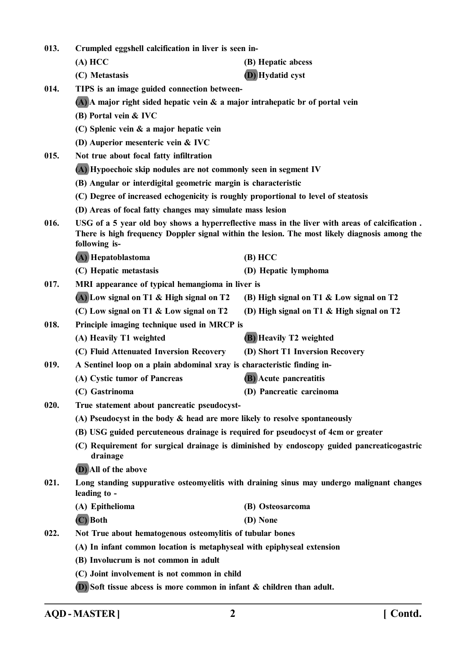| 013. | Crumpled eggshell calcification in liver is seen in-                               |                                                                                                                                                                                                 |
|------|------------------------------------------------------------------------------------|-------------------------------------------------------------------------------------------------------------------------------------------------------------------------------------------------|
|      | (A) HCC                                                                            | (B) Hepatic abcess                                                                                                                                                                              |
|      | (C) Metastasis                                                                     | <b>(D)</b> Hydatid cyst                                                                                                                                                                         |
| 014. | TIPS is an image guided connection between-                                        |                                                                                                                                                                                                 |
|      | $(A)$ A major right sided hepatic vein $\&$ a major intrahepatic br of portal vein |                                                                                                                                                                                                 |
|      | (B) Portal vein & IVC                                                              |                                                                                                                                                                                                 |
|      | $(C)$ Splenic vein $\&$ a major hepatic vein                                       |                                                                                                                                                                                                 |
|      | (D) Auperior mesenteric vein & IVC                                                 |                                                                                                                                                                                                 |
| 015. | Not true about focal fatty infiltration                                            |                                                                                                                                                                                                 |
|      | (A) Hypoechoic skip nodules are not commonly seen in segment IV                    |                                                                                                                                                                                                 |
|      | (B) Angular or interdigital geometric margin is characteristic                     |                                                                                                                                                                                                 |
|      | (C) Degree of increased echogenicity is roughly proportional to level of steatosis |                                                                                                                                                                                                 |
|      | (D) Areas of focal fatty changes may simulate mass lesion                          |                                                                                                                                                                                                 |
| 016. | following is-                                                                      | USG of a 5 year old boy shows a hyperreflective mass in the liver with areas of calcification.<br>There is high frequency Doppler signal within the lesion. The most likely diagnosis among the |
|      | (A) Hepatoblastoma                                                                 | (B) HCC                                                                                                                                                                                         |
|      | (C) Hepatic metastasis                                                             | (D) Hepatic lymphoma                                                                                                                                                                            |
| 017. | MRI appearance of typical hemangioma in liver is                                   |                                                                                                                                                                                                 |
|      | (A) Low signal on T1 & High signal on T2                                           | (B) High signal on T1 & Low signal on T2                                                                                                                                                        |
|      | (C) Low signal on T1 & Low signal on T2                                            | (D) High signal on T1 & High signal on T2                                                                                                                                                       |
| 018. | Principle imaging technique used in MRCP is                                        |                                                                                                                                                                                                 |
|      | (A) Heavily T1 weighted                                                            | <b>(B)</b> Heavily T2 weighted                                                                                                                                                                  |
|      | (C) Fluid Attenuated Inversion Recovery                                            | (D) Short T1 Inversion Recovery                                                                                                                                                                 |
| 019. | A Sentinel loop on a plain abdominal xray is characteristic finding in-            |                                                                                                                                                                                                 |
|      | (A) Cystic tumor of Pancreas                                                       | <b>(B)</b> Acute pancreatitis                                                                                                                                                                   |
|      | (C) Gastrinoma                                                                     | (D) Pancreatic carcinoma                                                                                                                                                                        |
| 020. | True statement about pancreatic pseudocyst-                                        |                                                                                                                                                                                                 |
|      | (A) Pseudocyst in the body $\&$ head are more likely to resolve spontaneously      |                                                                                                                                                                                                 |
|      | (B) USG guided percuteneous drainage is required for pseudocyst of 4cm or greater  |                                                                                                                                                                                                 |
|      | drainage                                                                           | (C) Requirement for surgical drainage is diminished by endoscopy guided pancreaticogastric                                                                                                      |
|      | (D) All of the above                                                               |                                                                                                                                                                                                 |
| 021. | leading to -                                                                       | Long standing suppurative osteomyelitis with draining sinus may undergo malignant changes                                                                                                       |
|      | (A) Epithelioma                                                                    | (B) Osteosarcoma                                                                                                                                                                                |
|      | (C) Both                                                                           | (D) None                                                                                                                                                                                        |
| 022. | Not True about hematogenous osteomylitis of tubular bones                          |                                                                                                                                                                                                 |
|      | (A) In infant common location is metaphyseal with epiphyseal extension             |                                                                                                                                                                                                 |
|      | (B) Involucrum is not common in adult                                              |                                                                                                                                                                                                 |
|      | (C) Joint involvement is not common in child                                       |                                                                                                                                                                                                 |
|      | $(D)$ Soft tissue abcess is more common in infant $\&$ children than adult.        |                                                                                                                                                                                                 |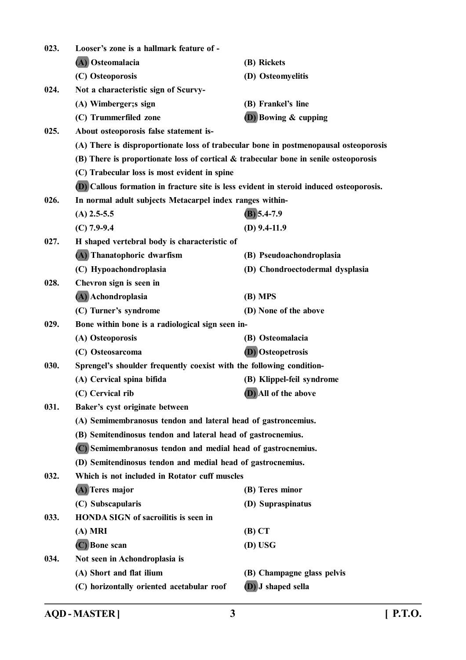| 023. | Looser's zone is a hallmark feature of -                                                |                                 |
|------|-----------------------------------------------------------------------------------------|---------------------------------|
|      | (A) Osteomalacia                                                                        | (B) Rickets                     |
|      | (C) Osteoporosis                                                                        | (D) Osteomyelitis               |
| 024. | Not a characteristic sign of Scurvy-                                                    |                                 |
|      | (A) Wimberger;s sign                                                                    | (B) Frankel's line              |
|      | (C) Trummerfiled zone                                                                   | $(D)$ Bowing $\&$ cupping       |
| 025. | About osteoporosis false statement is-                                                  |                                 |
|      | (A) There is disproportionate loss of trabecular bone in postmenopausal osteoporosis    |                                 |
|      | (B) There is proportionate loss of cortical $\&$ trabecular bone in senile osteoporosis |                                 |
|      | (C) Trabecular loss is most evident in spine                                            |                                 |
|      | (D) Callous formation in fracture site is less evident in steroid induced osteoporosis. |                                 |
| 026. | In normal adult subjects Metacarpel index ranges within-                                |                                 |
|      | $(A)$ 2.5-5.5                                                                           | $(B)$ 5.4-7.9                   |
|      | $(C)$ 7.9-9.4                                                                           | $(D)$ 9.4-11.9                  |
| 027. | H shaped vertebral body is characteristic of                                            |                                 |
|      | (A) Thanatophoric dwarfism                                                              | (B) Pseudoachondroplasia        |
|      | (C) Hypoachondroplasia                                                                  | (D) Chondroectodermal dysplasia |
| 028. | Chevron sign is seen in                                                                 |                                 |
|      | (A) Achondroplasia                                                                      | $(B)$ MPS                       |
|      | (C) Turner's syndrome                                                                   | (D) None of the above           |
| 029. | Bone within bone is a radiological sign seen in-                                        |                                 |
|      | (A) Osteoporosis                                                                        | (B) Osteomalacia                |
|      | (C) Osteosarcoma                                                                        | (D) Osteopetrosis               |
| 030. | Sprengel's shoulder frequently coexist with the following condition-                    |                                 |
|      | (A) Cervical spina bifida                                                               | (B) Klippel-feil syndrome       |
|      | (C) Cervical rib                                                                        | (D) All of the above            |
| 031. | Baker's cyst originate between                                                          |                                 |
|      | (A) Semimembranosus tendon and lateral head of gastroncemius.                           |                                 |
|      | (B) Semitendinosus tendon and lateral head of gastrocnemius.                            |                                 |
|      | (C) Semimembranosus tendon and medial head of gastrocnemius.                            |                                 |
|      | (D) Semitendinosus tendon and medial head of gastrocnemius.                             |                                 |
| 032. | Which is not included in Rotator cuff muscles                                           |                                 |
|      | (A) Teres major                                                                         | (B) Teres minor                 |
|      | (C) Subscapularis                                                                       | (D) Supraspinatus               |
| 033. | <b>HONDA SIGN of sacroilitis is seen in</b>                                             |                                 |
|      | $(A)$ MRI                                                                               | $(B)$ CT                        |
|      | (C) Bone scan                                                                           | (D) USG                         |
| 034. | Not seen in Achondroplasia is                                                           |                                 |
|      | (A) Short and flat ilium                                                                | (B) Champagne glass pelvis      |
|      | (C) horizontally oriented acetabular roof                                               | (D) J shaped sella              |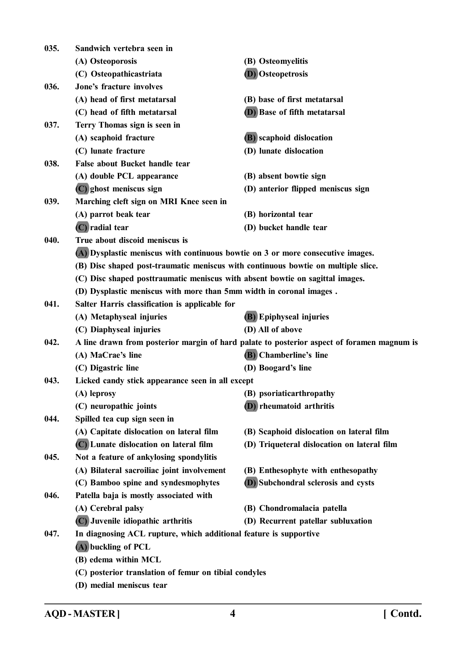| 035. | Sandwich vertebra seen in                                                                  |                                             |
|------|--------------------------------------------------------------------------------------------|---------------------------------------------|
|      | (A) Osteoporosis                                                                           | (B) Osteomyelitis                           |
|      | (C) Osteopathicastriata                                                                    | (D) Osteopetrosis                           |
| 036. | Jone's fracture involves                                                                   |                                             |
|      | (A) head of first metatarsal                                                               | (B) base of first metatarsal                |
|      | (C) head of fifth metatarsal                                                               | (D) Base of fifth metatarsal                |
| 037. | Terry Thomas sign is seen in                                                               |                                             |
|      | (A) scaphoid fracture                                                                      | (B) scaphoid dislocation                    |
|      | (C) lunate fracture                                                                        | (D) lunate dislocation                      |
| 038. | False about Bucket handle tear                                                             |                                             |
|      | (A) double PCL appearance                                                                  | (B) absent bowtie sign                      |
|      | (C) ghost meniscus sign                                                                    | (D) anterior flipped meniscus sign          |
| 039. | Marching cleft sign on MRI Knee seen in                                                    |                                             |
|      | (A) parrot beak tear                                                                       | (B) horizontal tear                         |
|      | (C) radial tear                                                                            | (D) bucket handle tear                      |
| 040. | True about discoid meniscus is                                                             |                                             |
|      | (A) Dysplastic meniscus with continuous bowtie on 3 or more consecutive images.            |                                             |
|      | (B) Disc shaped post-traumatic meniscus with continuous bowtie on multiple slice.          |                                             |
|      | (C) Disc shaped posttraumatic meniscus with absent bowtie on sagittal images.              |                                             |
|      | (D) Dysplastic meniscus with more than 5mm width in coronal images.                        |                                             |
| 041. | Salter Harris classification is applicable for                                             |                                             |
|      | (A) Metaphyseal injuries                                                                   | <b>(B)</b> Epiphyseal injuries              |
|      | (C) Diaphyseal injuries                                                                    | (D) All of above                            |
| 042. | A line drawn from posterior margin of hard palate to posterior aspect of foramen magnum is |                                             |
|      | (A) MaCrae's line                                                                          | (B) Chamberline's line                      |
|      | (C) Digastric line                                                                         | (D) Boogard's line                          |
| 043. | Licked candy stick appearance seen in all except                                           |                                             |
|      | (A) leprosy                                                                                | (B) psoriaticarthropathy                    |
|      | (C) neuropathic joints                                                                     | (D) rheumatoid arthritis                    |
| 044. | Spilled tea cup sign seen in                                                               |                                             |
|      | (A) Capitate dislocation on lateral film                                                   | (B) Scaphoid dislocation on lateral film    |
|      | (C) Lunate dislocation on lateral film                                                     | (D) Triqueteral dislocation on lateral film |
| 045. | Not a feature of ankylosing spondylitis                                                    |                                             |
|      | (A) Bilateral sacroiliac joint involvement                                                 | (B) Enthesophyte with enthesopathy          |
|      | (C) Bamboo spine and syndesmophytes                                                        | <b>(D)</b> Subchondral sclerosis and cysts  |
| 046. | Patella baja is mostly associated with                                                     |                                             |
|      | (A) Cerebral palsy                                                                         | (B) Chondromalacia patella                  |
|      | (C) Juvenile idiopathic arthritis                                                          | (D) Recurrent patellar subluxation          |
| 047. | In diagnosing ACL rupture, which additional feature is supportive                          |                                             |
|      | (A) buckling of PCL                                                                        |                                             |
|      | (B) edema within MCL                                                                       |                                             |
|      | (C) posterior translation of femur on tibial condyles                                      |                                             |
|      | (D) medial meniscus tear                                                                   |                                             |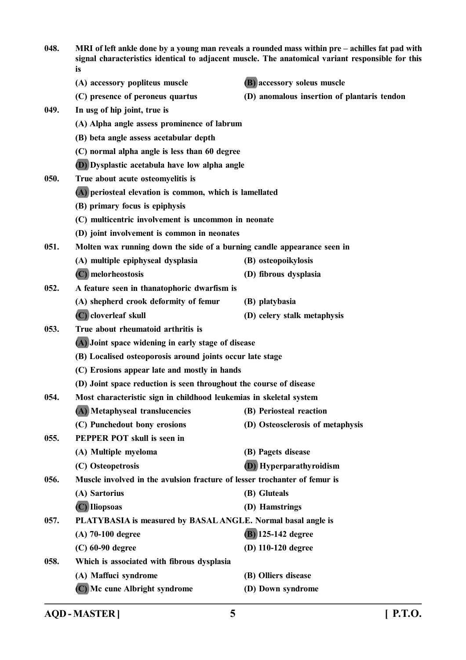| 048. | MRI of left ankle done by a young man reveals a rounded mass within pre – achilles fat pad with<br>signal characteristics identical to adjacent muscle. The anatomical variant responsible for this<br>is |                                             |
|------|-----------------------------------------------------------------------------------------------------------------------------------------------------------------------------------------------------------|---------------------------------------------|
|      | (A) accessory popliteus muscle                                                                                                                                                                            | (B) accessory soleus muscle                 |
|      | (C) presence of peroneus quartus                                                                                                                                                                          | (D) anomalous insertion of plantaris tendon |
| 049. | In usg of hip joint, true is                                                                                                                                                                              |                                             |
|      | (A) Alpha angle assess prominence of labrum                                                                                                                                                               |                                             |
|      | (B) beta angle assess acetabular depth                                                                                                                                                                    |                                             |
|      | (C) normal alpha angle is less than 60 degree                                                                                                                                                             |                                             |
|      | (D) Dysplastic acetabula have low alpha angle                                                                                                                                                             |                                             |
| 050. | True about acute osteomyelitis is                                                                                                                                                                         |                                             |
|      | (A) periosteal elevation is common, which is lamellated                                                                                                                                                   |                                             |
|      | (B) primary focus is epiphysis                                                                                                                                                                            |                                             |
|      | (C) multicentric involvement is uncommon in neonate                                                                                                                                                       |                                             |
|      | (D) joint involvement is common in neonates                                                                                                                                                               |                                             |
| 051. | Molten wax running down the side of a burning candle appearance seen in                                                                                                                                   |                                             |
|      | (A) multiple epiphyseal dysplasia                                                                                                                                                                         | (B) osteopoikylosis                         |
|      | (C) melorheostosis                                                                                                                                                                                        | (D) fibrous dysplasia                       |
| 052. | A feature seen in thanatophoric dwarfism is                                                                                                                                                               |                                             |
|      | (A) shepherd crook deformity of femur                                                                                                                                                                     | (B) platybasia                              |
|      | (C) cloverleaf skull                                                                                                                                                                                      | (D) celery stalk metaphysis                 |
| 053. | True about rheumatoid arthritis is                                                                                                                                                                        |                                             |
|      | (A) Joint space widening in early stage of disease                                                                                                                                                        |                                             |
|      | (B) Localised osteoporosis around joints occur late stage                                                                                                                                                 |                                             |
|      | (C) Erosions appear late and mostly in hands                                                                                                                                                              |                                             |
|      | (D) Joint space reduction is seen throughout the course of disease                                                                                                                                        |                                             |
| 054. | Most characteristic sign in childhood leukemias in skeletal system                                                                                                                                        |                                             |
|      | (A) Metaphyseal translucencies                                                                                                                                                                            | (B) Periosteal reaction                     |
|      | (C) Punchedout bony erosions                                                                                                                                                                              | (D) Osteosclerosis of metaphysis            |
| 055. | PEPPER POT skull is seen in                                                                                                                                                                               |                                             |
|      | (A) Multiple myeloma                                                                                                                                                                                      | (B) Pagets disease                          |
|      | (C) Osteopetrosis                                                                                                                                                                                         | <b>(D)</b> Hyperparathyroidism              |
| 056. | Muscle involved in the avulsion fracture of lesser trochanter of femur is                                                                                                                                 |                                             |
|      | (A) Sartorius                                                                                                                                                                                             | (B) Gluteals                                |
|      | (C) Iliopsoas                                                                                                                                                                                             | (D) Hamstrings                              |
| 057. | PLATYBASIA is measured by BASAL ANGLE. Normal basal angle is                                                                                                                                              |                                             |
|      | $(A)$ 70-100 degree                                                                                                                                                                                       | (B) 125-142 degree                          |
|      | $(C)$ 60-90 degree                                                                                                                                                                                        | (D) 110-120 degree                          |
| 058. | Which is associated with fibrous dysplasia                                                                                                                                                                |                                             |
|      | (A) Maffuci syndrome                                                                                                                                                                                      | (B) Olliers disease                         |
|      | (C) Mc cune Albright syndrome                                                                                                                                                                             | (D) Down syndrome                           |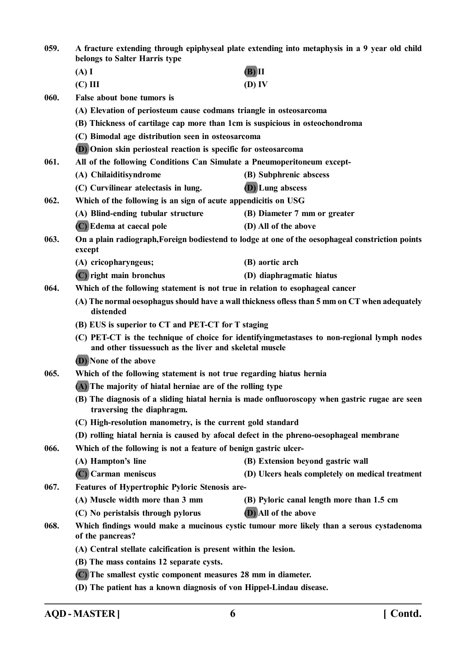**059. A fracture extending through epiphyseal plate extending into metaphysis in a 9 year old child belongs to Salter Harris type (A) I (B) II (C) III (D) IV 060. False about bone tumors is (A) Elevation of periosteum cause codmans triangle in osteosarcoma (B) Thickness of cartilage cap more than 1cm is suspicious in osteochondroma (C) Bimodal age distribution seen in osteosarcoma (D) Onion skin periosteal reaction is specific for osteosarcoma 061. All of the following Conditions Can Simulate a Pneumoperitoneum except- (A) Chilaiditisyndrome (B) Subphrenic abscess (C) Curvilinear atelectasis in lung. (D) Lung abscess 062. Which of the following is an sign of acute appendicitis on USG (A) Blind-ending tubular structure (B) Diameter 7 mm or greater (C) Edema at caecal pole (D) All of the above 063. On a plain radiograph,Foreign bodiestend to lodge at one of the oesophageal constriction points except (A) cricopharyngeus; (B) aortic arch (C) right main bronchus (D) diaphragmatic hiatus 064. Which of the following statement is not true in relation to esophageal cancer (A) The normal oesophagus should have a wall thickness ofless than 5 mm on CT when adequately distended (B) EUS is superior to CT and PET-CT for T staging (C) PET-CT is the technique of choice for identifyingmetastases to non-regional lymph nodes and other tissuessuch as the liver and skeletal muscle (D) None of the above 065. Which of the following statement is not true regarding hiatus hernia (A) The majority of hiatal herniae are of the rolling type (B) The diagnosis of a sliding hiatal hernia is made onfluoroscopy when gastric rugae are seen traversing the diaphragm. (C) High-resolution manometry, is the current gold standard (D) rolling hiatal hernia is caused by afocal defect in the phreno-oesophageal membrane 066. Which of the following is not a feature of benign gastric ulcer- (A) Hampton's line (B) Extension beyond gastric wall (C) Carman meniscus (D) Ulcers heals completely on medical treatment 067. Features of Hypertrophic Pyloric Stenosis are- (A) Muscle width more than 3 mm (B) Pyloric canal length more than 1.5 cm (C) No peristalsis through pylorus (D) All of the above 068. Which findings would make a mucinous cystic tumour more likely than a serous cystadenoma of the pancreas? (A) Central stellate calcification is present within the lesion. (B) The mass contains 12 separate cysts. (C) The smallest cystic component measures 28 mm in diameter.**

**(D) The patient has a known diagnosis of von Hippel-Lindau disease.**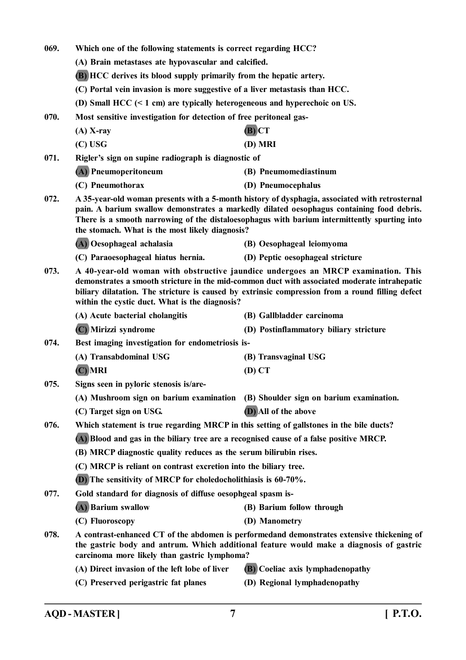| 069. | Which one of the following statements is correct regarding HCC?                                                                                                                                                                                                                                                                                |                                         |  |
|------|------------------------------------------------------------------------------------------------------------------------------------------------------------------------------------------------------------------------------------------------------------------------------------------------------------------------------------------------|-----------------------------------------|--|
|      | (A) Brain metastases ate hypovascular and calcified.                                                                                                                                                                                                                                                                                           |                                         |  |
|      | <b>(B)</b> HCC derives its blood supply primarily from the hepatic artery.<br>(C) Portal vein invasion is more suggestive of a liver metastasis than HCC.                                                                                                                                                                                      |                                         |  |
|      |                                                                                                                                                                                                                                                                                                                                                |                                         |  |
|      | (D) Small HCC $(< 1$ cm) are typically heterogeneous and hyperechoic on US.                                                                                                                                                                                                                                                                    |                                         |  |
| 070. | Most sensitive investigation for detection of free peritoneal gas-                                                                                                                                                                                                                                                                             |                                         |  |
|      | $(A)$ X-ray                                                                                                                                                                                                                                                                                                                                    | $(B)$ $CT$                              |  |
|      | $(C)$ USG                                                                                                                                                                                                                                                                                                                                      | (D) MRI                                 |  |
| 071. | Rigler's sign on supine radiograph is diagnostic of                                                                                                                                                                                                                                                                                            |                                         |  |
|      | (A) Pneumoperitoneum                                                                                                                                                                                                                                                                                                                           | (B) Pneumomediastinum                   |  |
|      | (C) Pneumothorax                                                                                                                                                                                                                                                                                                                               | (D) Pneumocephalus                      |  |
| 072. | A 35-year-old woman presents with a 5-month history of dysphagia, associated with retrosternal<br>pain. A barium swallow demonstrates a markedly dilated oesophagus containing food debris.<br>There is a smooth narrowing of the distaloesophagus with barium intermittently spurting into<br>the stomach. What is the most likely diagnosis? |                                         |  |
|      | (A) Oesophageal achalasia                                                                                                                                                                                                                                                                                                                      | (B) Oesophageal leiomyoma               |  |
|      | (C) Paraoesophageal hiatus hernia.                                                                                                                                                                                                                                                                                                             | (D) Peptic oesophageal stricture        |  |
| 073. | A 40-year-old woman with obstructive jaundice undergoes an MRCP examination. This<br>demonstrates a smooth stricture in the mid-common duct with associated moderate intrahepatic<br>biliary dilatation. The stricture is caused by extrinsic compression from a round filling defect<br>within the cystic duct. What is the diagnosis?        |                                         |  |
|      | (A) Acute bacterial cholangitis                                                                                                                                                                                                                                                                                                                | (B) Gallbladder carcinoma               |  |
|      | (C) Mirizzi syndrome                                                                                                                                                                                                                                                                                                                           | (D) Postinflammatory biliary stricture  |  |
| 074. | Best imaging investigation for endometriosis is-                                                                                                                                                                                                                                                                                               |                                         |  |
|      | (A) Transabdominal USG                                                                                                                                                                                                                                                                                                                         | (B) Transvaginal USG                    |  |
|      | $(C)$ MRI                                                                                                                                                                                                                                                                                                                                      | $(D)$ CT                                |  |
| 075. | Signs seen in pyloric stenosis is/are-                                                                                                                                                                                                                                                                                                         |                                         |  |
|      | (A) Mushroom sign on barium examination (B) Shoulder sign on barium examination.                                                                                                                                                                                                                                                               |                                         |  |
|      | (C) Target sign on USG.                                                                                                                                                                                                                                                                                                                        | (D) All of the above                    |  |
| 076. | Which statement is true regarding MRCP in this setting of gallstones in the bile ducts?                                                                                                                                                                                                                                                        |                                         |  |
|      | (A) Blood and gas in the biliary tree are a recognised cause of a false positive MRCP.                                                                                                                                                                                                                                                         |                                         |  |
|      | (B) MRCP diagnostic quality reduces as the serum bilirubin rises.                                                                                                                                                                                                                                                                              |                                         |  |
|      | (C) MRCP is reliant on contrast excretion into the biliary tree.                                                                                                                                                                                                                                                                               |                                         |  |
|      | (D) The sensitivity of MRCP for choledocholithiasis is 60-70%.                                                                                                                                                                                                                                                                                 |                                         |  |
| 077. | Gold standard for diagnosis of diffuse oesophgeal spasm is-                                                                                                                                                                                                                                                                                    |                                         |  |
|      | (A) Barium swallow                                                                                                                                                                                                                                                                                                                             | (B) Barium follow through               |  |
|      | (C) Fluoroscopy                                                                                                                                                                                                                                                                                                                                | (D) Manometry                           |  |
| 078. | A contrast-enhanced CT of the abdomen is performedand demonstrates extensive thickening of<br>the gastric body and antrum. Which additional feature would make a diagnosis of gastric<br>carcinoma more likely than gastric lymphoma?                                                                                                          |                                         |  |
|      | (A) Direct invasion of the left lobe of liver                                                                                                                                                                                                                                                                                                  | <b>(B)</b> Coeliac axis lymphadenopathy |  |
|      | (C) Preserved perigastric fat planes                                                                                                                                                                                                                                                                                                           | (D) Regional lymphadenopathy            |  |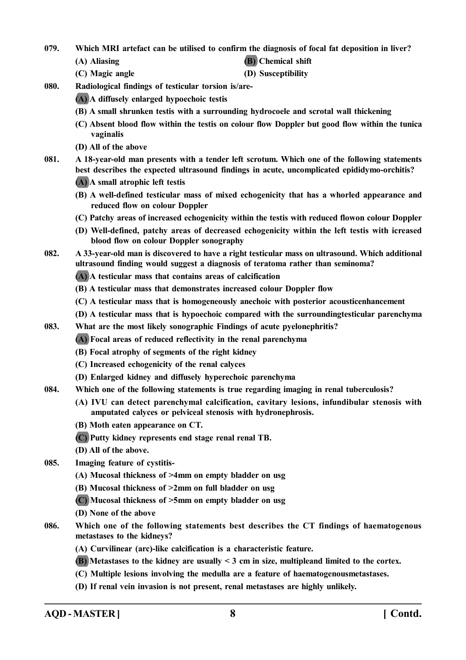**079. Which MRI artefact can be utilised to confirm the diagnosis of focal fat deposition in liver?**

- -
- **(A) Aliasing (B) Chemical shift**
- **(C) Magic angle (D) Susceptibility**
- **080. Radiological findings of testicular torsion is/are-**
	- **(A) A diffusely enlarged hypoechoic testis**
	- **(B) A small shrunken testis with a surrounding hydrocoele and scrotal wall thickening**
	- **(C) Absent blood flow within the testis on colour flow Doppler but good flow within the tunica vaginalis**
	- **(D) All of the above**
- **081. A 18-year-old man presents with a tender left scrotum. Which one of the following statements best describes the expected ultrasound findings in acute, uncomplicated epididymo-orchitis?**
	- **(A) A small atrophic left testis**
	- **(B) A well-defined testicular mass of mixed echogenicity that has a whorled appearance and reduced flow on colour Doppler**
	- **(C) Patchy areas of increased echogenicity within the testis with reduced flowon colour Doppler**
	- **(D) Well-defined, patchy areas of decreased echogenicity within the left testis with icreased blood flow on colour Doppler sonography**
- **082. A 33-year-old man is discovered to have a right testicular mass on ultrasound. Which additional ultrasound finding would suggest a diagnosis of teratoma rather than seminoma?**
	- **(A) A testicular mass that contains areas of calcification**
	- **(B) A testicular mass that demonstrates increased colour Doppler flow**
	- **(C) A testicular mass that is homogeneously anechoic with posterior acousticenhancement**
	- **(D) A testicular mass that is hypoechoic compared with the surroundingtesticular parenchyma**
- **083. What are the most likely sonographic Findings of acute pyelonephritis?**
	- **(A) Focal areas of reduced reflectivity in the renal parenchyma**
	- **(B) Focal atrophy of segments of the right kidney**
	- **(C) Increased echogenicity of the renal calyces**
	- **(D) Enlarged kidney and diffusely hyperechoic parenchyma**
- **084. Which one of the following statements is true regarding imaging in renal tuberculosis?**
	- **(A) IVU can detect parenchymal calcification, cavitary lesions, infundibular stenosis with amputated calyces or pelviceal stenosis with hydronephrosis.**
	- **(B) Moth eaten appearance on CT.**
	- **(C) Putty kidney represents end stage renal renal TB.**
	- **(D) All of the above.**
- **085. Imaging feature of cystitis-**
	- **(A) Mucosal thickness of >4mm on empty bladder on usg**
	- **(B) Mucosal thickness of >2mm on full bladder on usg**
	- **(C) Mucosal thickness of >5mm on empty bladder on usg**
	- **(D) None of the above**
- **086. Which one of the following statements best describes the CT findings of haematogenous metastases to the kidneys?**
	- **(A) Curvilinear (arc)-like calcification is a characteristic feature.**
	- **(B) Metastases to the kidney are usually < 3 cm in size, multipleand limited to the cortex.**
	- **(C) Multiple lesions involving the medulla are a feature of haematogenousmetastases.**
	- **(D) If renal vein invasion is not present, renal metastases are highly unlikely.**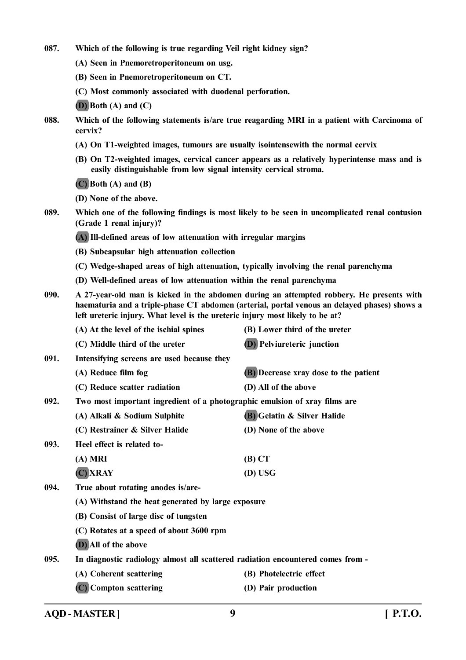- **087. Which of the following is true regarding Veil right kidney sign?**
	- **(A) Seen in Pnemoretroperitoneum on usg.**
	- **(B) Seen in Pnemoretroperitoneum on CT.**
	- **(C) Most commonly associated with duodenal perforation.**

**(D) Both (A) and (C)**

- **088. Which of the following statements is/are true reagarding MRI in a patient with Carcinoma of cervix?**
	- **(A) On T1-weighted images, tumours are usually isointensewith the normal cervix**
	- **(B) On T2-weighted images, cervical cancer appears as a relatively hyperintense mass and is easily distinguishable from low signal intensity cervical stroma.**

**(C) Both (A) and (B)**

**(D) None of the above.**

**089. Which one of the following findings is most likely to be seen in uncomplicated renal contusion (Grade 1 renal injury)?**

**(A) Ill-defined areas of low attenuation with irregular margins**

- **(B) Subcapsular high attenuation collection**
- **(C) Wedge-shaped areas of high attenuation, typically involving the renal parenchyma**
- **(D) Well-defined areas of low attenuation within the renal parenchyma**
- **090. A 27-year-old man is kicked in the abdomen during an attempted robbery. He presents with haematuria and a triple-phase CT abdomen (arterial, portal venous an delayed phases) shows a left ureteric injury. What level is the ureteric injury most likely to be at?**
- **(A) At the level of the ischial spines (B) Lower third of the ureter (C) Middle third of the ureter (D) Pelviureteric junction 091. Intensifying screens are used because they (A) Reduce film fog (B) Decrease xray dose to the patient (C) Reduce scatter radiation (D) All of the above 092. Two most important ingredient of a photographic emulsion of xray films are (A) Alkali & Sodium Sulphite (B) Gelatin & Silver Halide (C) Restrainer & Silver Halide (D) None of the above 093. Heel effect is related to- (A) MRI (B) CT (C) XRAY (D) USG 094. True about rotating anodes is/are- (A) Withstand the heat generated by large exposure (B) Consist of large disc of tungsten (C) Rotates at a speed of about 3600 rpm (D) All of the above 095. In diagnostic radiology almost all scattered radiation encountered comes from - (A) Coherent scattering (B) Photelectric effect (C) Compton scattering (D) Pair production**

**AQD - MASTER ] 9 [ P.T.O.**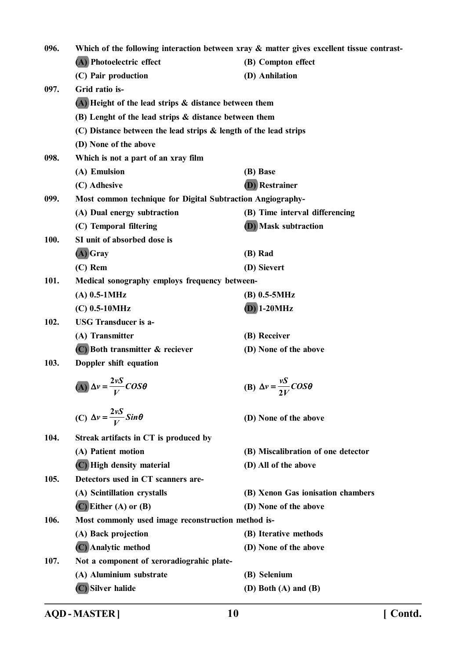| 096. |                                                                       | Which of the following interaction between xray & matter gives excellent tissue contrast- |
|------|-----------------------------------------------------------------------|-------------------------------------------------------------------------------------------|
|      | (A) Photoelectric effect                                              | (B) Compton effect                                                                        |
|      | (C) Pair production                                                   | (D) Anhilation                                                                            |
| 097. | Grid ratio is-                                                        |                                                                                           |
|      | $(A)$ Height of the lead strips $\&$ distance between them            |                                                                                           |
|      | (B) Lenght of the lead strips & distance between them                 |                                                                                           |
|      | $(C)$ Distance between the lead strips $\&$ length of the lead strips |                                                                                           |
|      | (D) None of the above                                                 |                                                                                           |
| 098. | Which is not a part of an xray film                                   |                                                                                           |
|      | (A) Emulsion                                                          | (B) Base                                                                                  |
|      | (C) Adhesive                                                          | <b>(D)</b> Restrainer                                                                     |
| 099. | Most common technique for Digital Subtraction Angiography-            |                                                                                           |
|      | (A) Dual energy subtraction                                           | (B) Time interval differencing                                                            |
|      | (C) Temporal filtering                                                | <b>(D)</b> Mask subtraction                                                               |
| 100. | SI unit of absorbed dose is                                           |                                                                                           |
|      | $(A)$ Gray                                                            | (B) Rad                                                                                   |
|      | $(C)$ Rem                                                             | (D) Sievert                                                                               |
| 101. | Medical sonography employs frequency between-                         |                                                                                           |
|      | $(A)$ 0.5-1MHz                                                        | $(B)$ 0.5-5MHz                                                                            |
|      | $(C)$ 0.5-10MHz                                                       | $(D)$ 1-20MHz                                                                             |
| 102. | <b>USG</b> Transducer is a-                                           |                                                                                           |
|      | (A) Transmitter                                                       | (B) Receiver                                                                              |
|      | $(C)$ Both transmitter $\&$ reciever                                  | (D) None of the above                                                                     |
| 103. | Doppler shift equation                                                |                                                                                           |
|      | (A) $\Delta v = \frac{2vS}{V}COS\theta$                               | (B) $\Delta v = \frac{vS}{2V}$ COS $\theta$                                               |
|      | (C) $\Delta v = \frac{2vS}{V}Sin\theta$                               | (D) None of the above                                                                     |
| 104. | Streak artifacts in CT is produced by                                 |                                                                                           |
|      | (A) Patient motion                                                    | (B) Miscalibration of one detector                                                        |
|      | (C) High density material                                             | (D) All of the above                                                                      |
| 105. | Detectors used in CT scanners are-                                    |                                                                                           |
|      | (A) Scintillation crystalls                                           | (B) Xenon Gas ionisation chambers                                                         |
|      | $(C)$ Either (A) or (B)                                               | (D) None of the above                                                                     |
| 106. | Most commonly used image reconstruction method is-                    |                                                                                           |
|      | (A) Back projection                                                   | (B) Iterative methods                                                                     |
|      | (C) Analytic method                                                   | (D) None of the above                                                                     |
| 107. | Not a component of xeroradiograhic plate-                             |                                                                                           |
|      | (A) Aluminium substrate                                               | (B) Selenium                                                                              |
|      | (C) Silver halide                                                     | (D) Both $(A)$ and $(B)$                                                                  |

**AQD - MASTER ] 10 [ Contd.**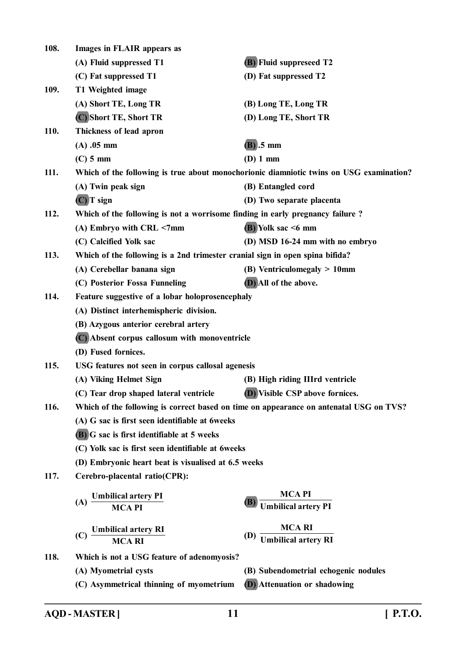| 108. | Images in FLAIR appears as                                                    |                                                                                         |
|------|-------------------------------------------------------------------------------|-----------------------------------------------------------------------------------------|
|      | (A) Fluid suppressed T1                                                       | <b>(B)</b> Fluid suppreseed T2                                                          |
|      | (C) Fat suppressed T1                                                         | (D) Fat suppressed T2                                                                   |
| 109. | T1 Weighted image                                                             |                                                                                         |
|      | (A) Short TE, Long TR                                                         | (B) Long TE, Long TR                                                                    |
|      | (C) Short TE, Short TR                                                        | (D) Long TE, Short TR                                                                   |
| 110. | Thickness of lead apron                                                       |                                                                                         |
|      | $(A)$ .05 mm                                                                  | $(B)$ .5 mm                                                                             |
|      | $(C)$ 5 mm                                                                    | (D) 1 mm                                                                                |
| 111. |                                                                               | Which of the following is true about monochorionic diamniotic twins on USG examination? |
|      | (A) Twin peak sign                                                            | (B) Entangled cord                                                                      |
|      | $(C)$ T sign                                                                  | (D) Two separate placenta                                                               |
| 112. | Which of the following is not a worrisome finding in early pregnancy failure? |                                                                                         |
|      | (A) Embryo with CRL <7mm                                                      | $(B)$ Yolk sac <6 mm                                                                    |
|      | (C) Calcified Yolk sac                                                        | (D) MSD 16-24 mm with no embryo                                                         |
| 113. | Which of the following is a 2nd trimester cranial sign in open spina bifida?  |                                                                                         |
|      | (A) Cerebellar banana sign                                                    | $(B)$ Ventriculomegaly $> 10$ mm                                                        |
|      | (C) Posterior Fossa Funneling                                                 | (D) All of the above.                                                                   |
| 114. | Feature suggestive of a lobar holoprosencephaly                               |                                                                                         |
|      | (A) Distinct interhemispheric division.                                       |                                                                                         |
|      | (B) Azygous anterior cerebral artery                                          |                                                                                         |
|      | (C) Absent corpus callosum with monoventricle                                 |                                                                                         |
|      | (D) Fused fornices.                                                           |                                                                                         |
| 115. | USG features not seen in corpus callosal agenesis                             |                                                                                         |
|      | (A) Viking Helmet Sign                                                        | (B) High riding IIIrd ventricle                                                         |
|      | (C) Tear drop shaped lateral ventricle                                        | (D) Visible CSP above fornices.                                                         |
| 116. |                                                                               | Which of the following is correct based on time on appearance on antenatal USG on TVS?  |
|      | (A) G sac is first seen identifiable at 6weeks                                |                                                                                         |
|      | <b>(B)</b> G sac is first identifiable at 5 weeks                             |                                                                                         |
|      | (C) Yolk sac is first seen identifiable at 6weeks                             |                                                                                         |
|      | (D) Embryonic heart beat is visualised at 6.5 weeks                           |                                                                                         |
| 117. | Cerebro-placental ratio(CPR):                                                 |                                                                                         |
|      |                                                                               | <b>MCAPI</b>                                                                            |
|      | (A) Umbilical artery PI<br>MCA PI                                             | <b>Umbilical artery PI</b>                                                              |
|      |                                                                               |                                                                                         |
|      | $(C)$ Umbilical artery RI MCA RI                                              | (D) $\frac{MCA \, RI}{Umbilical \, artery \, RI}$                                       |
| 118. | Which is not a USG feature of adenomyosis?                                    |                                                                                         |
|      | (A) Myometrial cysts                                                          | (B) Subendometrial echogenic nodules                                                    |
|      | (C) Asymmetrical thinning of myometrium                                       | <b>(D)</b> Attenuation or shadowing                                                     |
|      |                                                                               |                                                                                         |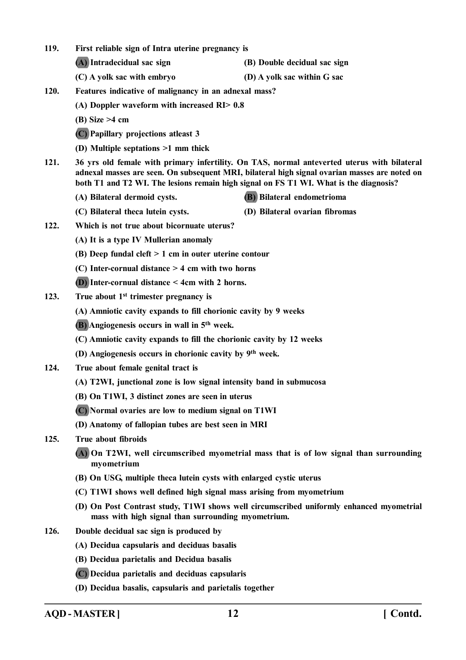- **119. First reliable sign of Intra uterine pregnancy is**
	- **(A) Intradecidual sac sign (B) Double decidual sac sign**
	- **(C) A yolk sac with embryo (D) A yolk sac within G sac**
- **120. Features indicative of malignancy in an adnexal mass?**
	- **(A) Doppler waveform with increased RI> 0.8**
	- **(B) Size >4 cm**
	- **(C) Papillary projections atleast 3**
	- **(D) Multiple septations >1 mm thick**
- **121. 36 yrs old female with primary infertility. On TAS, normal anteverted uterus with bilateral adnexal masses are seen. On subsequent MRI, bilateral high signal ovarian masses are noted on both T1 and T2 WI. The lesions remain high signal on FS T1 WI. What is the diagnosis?**
	- **(A) Bilateral dermoid cysts. (B) Bilateral endometrioma**
	- **(C) Bilateral theca lutein cysts. (D) Bilateral ovarian fibromas**
- **122. Which is not true about bicornuate uterus?**
	- **(A) It is a type IV Mullerian anomaly**
	- **(B) Deep fundal cleft > 1 cm in outer uterine contour**
	- **(C) Inter-cornual distance > 4 cm with two horns**
	- **(D) Inter-cornual distance < 4cm with 2 horns.**
- **123. True about 1st trimester pregnancy is**
	- **(A) Amniotic cavity expands to fill chorionic cavity by 9 weeks**
	- **(B) Angiogenesis occurs in wall in 5th week.**
	- **(C) Amniotic cavity expands to fill the chorionic cavity by 12 weeks**
	- **(D) Angiogenesis occurs in chorionic cavity by 9th week.**
- **124. True about female genital tract is**
	- **(A) T2WI, junctional zone is low signal intensity band in submucosa**
	- **(B) On T1WI, 3 distinct zones are seen in uterus**
	- **(C) Normal ovaries are low to medium signal on T1WI**
	- **(D) Anatomy of fallopian tubes are best seen in MRI**
- **125. True about fibroids**
	- **(A) On T2WI, well circumscribed myometrial mass that is of low signal than surrounding myometrium**
	- **(B) On USG, multiple theca lutein cysts with enlarged cystic uterus**
	- **(C) T1WI shows well defined high signal mass arising from myometrium**
	- **(D) On Post Contrast study, T1WI shows well circumscribed uniformly enhanced myometrial mass with high signal than surrounding myometrium.**
- **126. Double decidual sac sign is produced by**
	- **(A) Decidua capsularis and deciduas basalis**
	- **(B) Decidua parietalis and Decidua basalis**
	- **(C) Decidua parietalis and deciduas capsularis**
	- **(D) Decidua basalis, capsularis and parietalis together**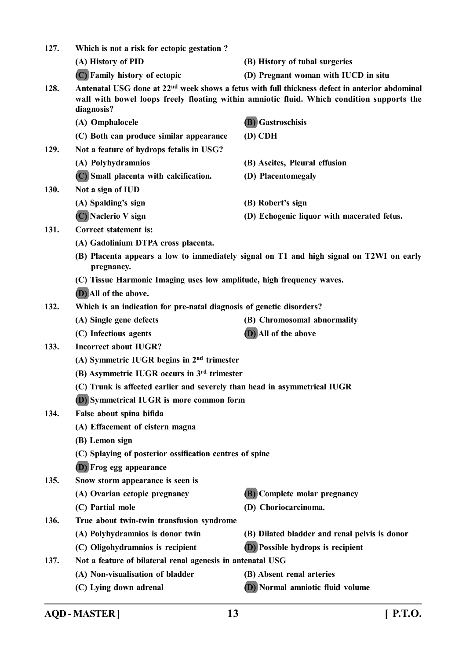| 127. | Which is not a risk for ectopic gestation?                                |                                                                                                                                                                                                         |
|------|---------------------------------------------------------------------------|---------------------------------------------------------------------------------------------------------------------------------------------------------------------------------------------------------|
|      | (A) History of PID                                                        | (B) History of tubal surgeries                                                                                                                                                                          |
|      | (C) Family history of ectopic                                             | (D) Pregnant woman with IUCD in situ                                                                                                                                                                    |
| 128. | diagnosis?                                                                | Antenatal USG done at 22 <sup>nd</sup> week shows a fetus with full thickness defect in anterior abdominal<br>wall with bowel loops freely floating within amniotic fluid. Which condition supports the |
|      | (A) Omphalocele                                                           | (B) Gastroschisis                                                                                                                                                                                       |
|      | (C) Both can produce similar appearance                                   | $(D)$ CDH                                                                                                                                                                                               |
| 129. | Not a feature of hydrops fetalis in USG?                                  |                                                                                                                                                                                                         |
|      | (A) Polyhydramnios                                                        | (B) Ascites, Pleural effusion                                                                                                                                                                           |
|      | (C) Small placenta with calcification.                                    | (D) Placentomegaly                                                                                                                                                                                      |
| 130. | Not a sign of IUD                                                         |                                                                                                                                                                                                         |
|      | (A) Spalding's sign                                                       | (B) Robert's sign                                                                                                                                                                                       |
|      | (C) Naclerio V sign                                                       | (D) Echogenic liquor with macerated fetus.                                                                                                                                                              |
| 131. | <b>Correct statement is:</b>                                              |                                                                                                                                                                                                         |
|      | (A) Gadolinium DTPA cross placenta.                                       |                                                                                                                                                                                                         |
|      | pregnancy.                                                                | (B) Placenta appears a low to immediately signal on T1 and high signal on T2WI on early                                                                                                                 |
|      | (C) Tissue Harmonic Imaging uses low amplitude, high frequency waves.     |                                                                                                                                                                                                         |
|      | (D) All of the above.                                                     |                                                                                                                                                                                                         |
| 132. | Which is an indication for pre-natal diagnosis of genetic disorders?      |                                                                                                                                                                                                         |
|      | (A) Single gene defects                                                   | (B) Chromosomal abnormality                                                                                                                                                                             |
|      | (C) Infectious agents                                                     | (D) All of the above                                                                                                                                                                                    |
| 133. | <b>Incorrect about IUGR?</b>                                              |                                                                                                                                                                                                         |
|      | (A) Symmetric IUGR begins in $2nd$ trimester                              |                                                                                                                                                                                                         |
|      | (B) Asymmetric IUGR occurs in 3 <sup>rd</sup> trimester                   |                                                                                                                                                                                                         |
|      | (C) Trunk is affected earlier and severely than head in asymmetrical IUGR |                                                                                                                                                                                                         |
|      | <b>(D)</b> Symmetrical IUGR is more common form                           |                                                                                                                                                                                                         |
| 134. | False about spina bifida                                                  |                                                                                                                                                                                                         |
|      | (A) Effacement of cistern magna                                           |                                                                                                                                                                                                         |
|      | (B) Lemon sign                                                            |                                                                                                                                                                                                         |
|      | (C) Splaying of posterior ossification centres of spine                   |                                                                                                                                                                                                         |
|      | (D) Frog egg appearance                                                   |                                                                                                                                                                                                         |
| 135. | Snow storm appearance is seen is                                          |                                                                                                                                                                                                         |
|      | (A) Ovarian ectopic pregnancy                                             | <b>(B)</b> Complete molar pregnancy                                                                                                                                                                     |
|      | (C) Partial mole                                                          | (D) Choriocarcinoma.                                                                                                                                                                                    |
| 136. | True about twin-twin transfusion syndrome                                 |                                                                                                                                                                                                         |
|      | (A) Polyhydramnios is donor twin                                          | (B) Dilated bladder and renal pelvis is donor                                                                                                                                                           |
|      | (C) Oligohydramnios is recipient                                          | <b>(D)</b> Possible hydrops is recipient                                                                                                                                                                |
| 137. | Not a feature of bilateral renal agenesis in antenatal USG                |                                                                                                                                                                                                         |
|      | (A) Non-visualisation of bladder                                          | (B) Absent renal arteries                                                                                                                                                                               |
|      | (C) Lying down adrenal                                                    | (D) Normal amniotic fluid volume                                                                                                                                                                        |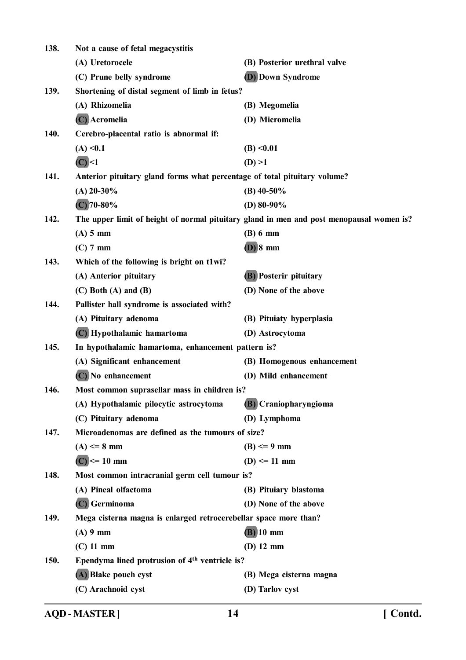| 138. | Not a cause of fetal megacystitis                                         |                                                                                          |
|------|---------------------------------------------------------------------------|------------------------------------------------------------------------------------------|
|      | (A) Uretorocele                                                           | (B) Posterior urethral valve                                                             |
|      | (C) Prune belly syndrome                                                  | <b>(D)</b> Down Syndrome                                                                 |
| 139. | Shortening of distal segment of limb in fetus?                            |                                                                                          |
|      | (A) Rhizomelia                                                            | (B) Megomelia                                                                            |
|      | (C) Acromelia                                                             | (D) Micromelia                                                                           |
| 140. | Cerebro-placental ratio is abnormal if:                                   |                                                                                          |
|      | (A) < 0.1                                                                 | (B) < 0.01                                                                               |
|      | $(C)$ <1                                                                  | (D) > 1                                                                                  |
| 141. | Anterior pituitary gland forms what percentage of total pituitary volume? |                                                                                          |
|      | $(A)$ 20-30%                                                              | $(B)$ 40-50%                                                                             |
|      | $(C)$ 70-80%                                                              | (D) $80-90\%$                                                                            |
| 142. |                                                                           | The upper limit of height of normal pituitary gland in men and post menopausal women is? |
|      | $(A)$ 5 mm                                                                | $(B)$ 6 mm                                                                               |
|      | $(C)$ 7 mm                                                                | $(D)$ 8 mm                                                                               |
| 143. | Which of the following is bright on t1wi?                                 |                                                                                          |
|      | (A) Anterior pituitary                                                    | <b>(B)</b> Posterir pituitary                                                            |
|      | $(C)$ Both $(A)$ and $(B)$                                                | (D) None of the above                                                                    |
| 144. | Pallister hall syndrome is associated with?                               |                                                                                          |
|      | (A) Pituitary adenoma                                                     | (B) Pituiaty hyperplasia                                                                 |
|      | (C) Hypothalamic hamartoma                                                | (D) Astrocytoma                                                                          |
| 145. | In hypothalamic hamartoma, enhancement pattern is?                        |                                                                                          |
|      | (A) Significant enhancement                                               | (B) Homogenous enhancement                                                               |
|      | (C) No enhancement                                                        | (D) Mild enhancement                                                                     |
| 146. | Most common suprasellar mass in children is?                              |                                                                                          |
|      | (A) Hypothalamic pilocytic astrocytoma                                    | (B) Craniopharyngioma                                                                    |
|      | (C) Pituitary adenoma                                                     | (D) Lymphoma                                                                             |
| 147. | Microadenomas are defined as the tumours of size?                         |                                                                                          |
|      | $(A) \leq 8$ mm                                                           | $(B) \leq 9$ mm                                                                          |
|      | $(C)$ <= 10 mm                                                            | $(D) \le 11$ mm                                                                          |
| 148. | Most common intracranial germ cell tumour is?                             |                                                                                          |
|      | (A) Pineal olfactoma                                                      | (B) Pituiary blastoma                                                                    |
|      | (C) Germinoma                                                             | (D) None of the above                                                                    |
| 149. | Mega cisterna magna is enlarged retrocerebellar space more than?          |                                                                                          |
|      | $(A)$ 9 mm                                                                | $(B)$ 10 mm                                                                              |
|      | $(C)$ 11 mm                                                               | $(D)$ 12 mm                                                                              |
| 150. | Ependyma lined protrusion of 4 <sup>th</sup> ventricle is?                |                                                                                          |
|      | (A) Blake pouch cyst                                                      | (B) Mega cisterna magna                                                                  |
|      | (C) Arachnoid cyst                                                        | (D) Tarlov cyst                                                                          |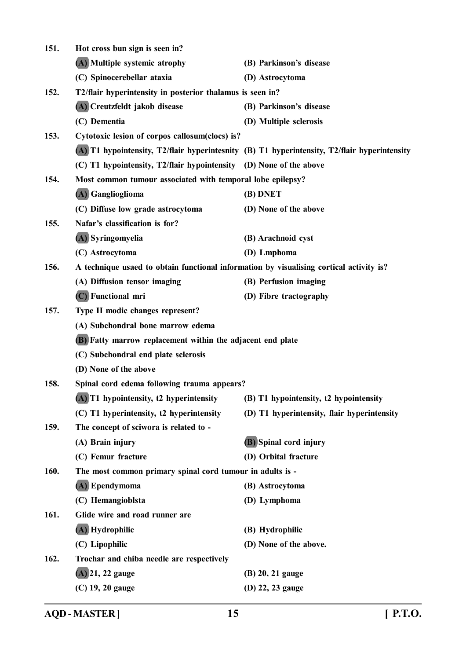| 151. | Hot cross bun sign is seen in?                                                          |                                                                                              |
|------|-----------------------------------------------------------------------------------------|----------------------------------------------------------------------------------------------|
|      | (A) Multiple systemic atrophy                                                           | (B) Parkinson's disease                                                                      |
|      | (C) Spinocerebellar ataxia                                                              | (D) Astrocytoma                                                                              |
| 152. | T2/flair hyperintensity in posterior thalamus is seen in?                               |                                                                                              |
|      | (A) Creutzfeldt jakob disease                                                           | (B) Parkinson's disease                                                                      |
|      | (C) Dementia                                                                            | (D) Multiple sclerosis                                                                       |
| 153. | Cytotoxic lesion of corpos callosum(clocs) is?                                          |                                                                                              |
|      |                                                                                         | (A) T1 hypointensity, T2/flair hyperintesnity (B) T1 hyperintensity, T2/flair hyperintensity |
|      | (C) T1 hypointensity, T2/flair hypointensity (D) None of the above                      |                                                                                              |
| 154. | Most common tumour associated with temporal lobe epilepsy?                              |                                                                                              |
|      | (A) Ganglioglioma                                                                       | (B) DNET                                                                                     |
|      | (C) Diffuse low grade astrocytoma                                                       | (D) None of the above                                                                        |
| 155. | Nafar's classification is for?                                                          |                                                                                              |
|      | (A) Syringomyelia                                                                       | (B) Arachnoid cyst                                                                           |
|      | (C) Astrocytoma                                                                         | (D) Lmphoma                                                                                  |
| 156. | A technique usaed to obtain functional information by visualising cortical activity is? |                                                                                              |
|      | (A) Diffusion tensor imaging                                                            | (B) Perfusion imaging                                                                        |
|      | (C) Functional mri                                                                      | (D) Fibre tractography                                                                       |
| 157. | Type II modic changes represent?                                                        |                                                                                              |
|      | (A) Subchondral bone marrow edema                                                       |                                                                                              |
|      | (B) Fatty marrow replacement within the adjacent end plate                              |                                                                                              |
|      | (C) Subchondral end plate sclerosis                                                     |                                                                                              |
|      | (D) None of the above                                                                   |                                                                                              |
| 158. | Spinal cord edema following trauma appears?                                             |                                                                                              |
|      | (A) T1 hypointensity, t2 hyperintensity                                                 | (B) T1 hypointensity, t2 hypointensity                                                       |
|      | (C) T1 hyperintensity, t2 hyperintensity                                                | (D) T1 hyperintensity, flair hyperintensity                                                  |
| 159. | The concept of sciwora is related to -                                                  |                                                                                              |
|      | (A) Brain injury                                                                        | (B) Spinal cord injury                                                                       |
|      | (C) Femur fracture                                                                      | (D) Orbital fracture                                                                         |
| 160. | The most common primary spinal cord tumour in adults is -                               |                                                                                              |
|      | (A) Ependymoma                                                                          | (B) Astrocytoma                                                                              |
|      | (C) Hemangioblsta                                                                       | (D) Lymphoma                                                                                 |
| 161. | Glide wire and road runner are                                                          |                                                                                              |
|      | (A) Hydrophilic                                                                         | (B) Hydrophilic                                                                              |
|      | (C) Lipophilic                                                                          | (D) None of the above.                                                                       |
| 162. | Trochar and chiba needle are respectively                                               |                                                                                              |
|      | $(A)$ 21, 22 gauge                                                                      | (B) 20, 21 gauge                                                                             |
|      | (C) 19, 20 gauge                                                                        | (D) 22, 23 gauge                                                                             |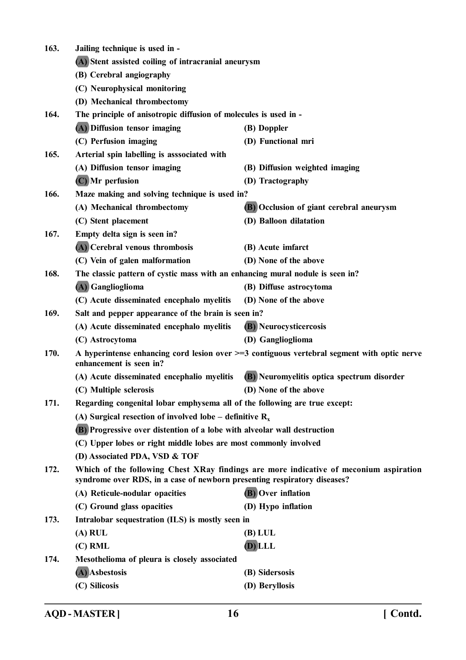| 163. | Jailing technique is used in -                                                                                                                                    |                                            |  |
|------|-------------------------------------------------------------------------------------------------------------------------------------------------------------------|--------------------------------------------|--|
|      | (A) Stent assisted coiling of intracranial aneurysm                                                                                                               |                                            |  |
|      | (B) Cerebral angiography                                                                                                                                          |                                            |  |
|      | (C) Neurophysical monitoring                                                                                                                                      |                                            |  |
|      | (D) Mechanical thrombectomy                                                                                                                                       |                                            |  |
| 164. | The principle of anisotropic diffusion of molecules is used in -                                                                                                  |                                            |  |
|      | (A) Diffusion tensor imaging                                                                                                                                      | (B) Doppler                                |  |
|      | (C) Perfusion imaging                                                                                                                                             | (D) Functional mri                         |  |
| 165. | Arterial spin labelling is asssociated with                                                                                                                       |                                            |  |
|      | (A) Diffusion tensor imaging                                                                                                                                      | (B) Diffusion weighted imaging             |  |
|      | (C) Mr perfusion                                                                                                                                                  | (D) Tractography                           |  |
| 166. | Maze making and solving technique is used in?                                                                                                                     |                                            |  |
|      | (A) Mechanical thrombectomy                                                                                                                                       | (B) Occlusion of giant cerebral aneurysm   |  |
|      | (C) Stent placement                                                                                                                                               | (D) Balloon dilatation                     |  |
| 167. | Empty delta sign is seen in?                                                                                                                                      |                                            |  |
|      | (A) Cerebral venous thrombosis                                                                                                                                    | (B) Acute imfarct                          |  |
|      | (C) Vein of galen malformation                                                                                                                                    | (D) None of the above                      |  |
| 168. | The classic pattern of cystic mass with an enhancing mural nodule is seen in?                                                                                     |                                            |  |
|      | (A) Ganglioglioma                                                                                                                                                 | (B) Diffuse astrocytoma                    |  |
|      | (C) Acute disseminated encephalo myelitis                                                                                                                         | (D) None of the above                      |  |
| 169. | Salt and pepper appearance of the brain is seen in?                                                                                                               |                                            |  |
|      | (A) Acute disseminated encephalo myelitis                                                                                                                         | (B) Neurocysticercosis                     |  |
|      | (C) Astrocytoma                                                                                                                                                   | (D) Ganglioglioma                          |  |
| 170. | A hyperintense enhancing cord lesion over $\geq=3$ contiguous vertebral segment with optic nerve<br>enhancement is seen in?                                       |                                            |  |
|      | (A) Acute disseminated encephalio myelitis                                                                                                                        | (B) Neuromyelitis optica spectrum disorder |  |
|      | (C) Multiple sclerosis                                                                                                                                            | (D) None of the above                      |  |
| 171. | Regarding congenital lobar emphysema all of the following are true except:                                                                                        |                                            |  |
|      | (A) Surgical resection of involved lobe – definitive $R_x$                                                                                                        |                                            |  |
|      | (B) Progressive over distention of a lobe with alveolar wall destruction                                                                                          |                                            |  |
|      | (C) Upper lobes or right middle lobes are most commonly involved                                                                                                  |                                            |  |
|      | (D) Associated PDA, VSD & TOF                                                                                                                                     |                                            |  |
| 172. | Which of the following Chest XRay findings are more indicative of meconium aspiration<br>syndrome over RDS, in a case of newborn presenting respiratory diseases? |                                            |  |
|      | (A) Reticule-nodular opacities                                                                                                                                    | <b>(B)</b> Over inflation                  |  |
|      | (C) Ground glass opacities                                                                                                                                        | (D) Hypo inflation                         |  |
| 173. | Intralobar sequestration (ILS) is mostly seen in                                                                                                                  |                                            |  |
|      | $(A)$ RUL                                                                                                                                                         | (B) LUL                                    |  |
|      | $(C)$ RML                                                                                                                                                         | (D) LLL                                    |  |
| 174. | Mesothelioma of pleura is closely associated                                                                                                                      |                                            |  |
|      | (A) Asbestosis                                                                                                                                                    | (B) Sidersosis                             |  |
|      | (C) Silicosis                                                                                                                                                     | (D) Beryllosis                             |  |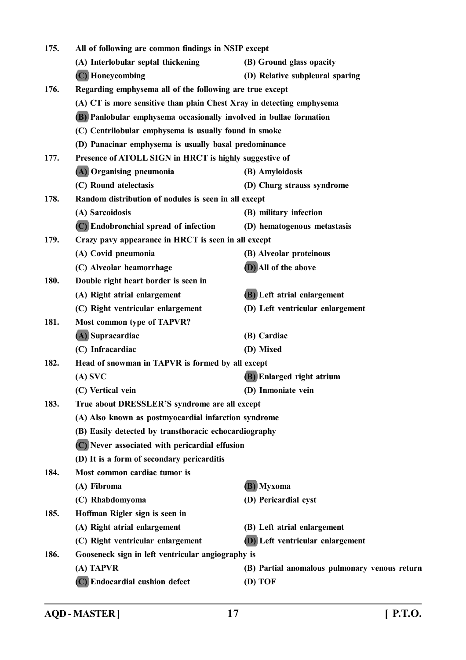| 175. | All of following are common findings in NSIP except                   |                                               |  |
|------|-----------------------------------------------------------------------|-----------------------------------------------|--|
|      | (A) Interlobular septal thickening                                    | (B) Ground glass opacity                      |  |
|      | (C) Honeycombing                                                      | (D) Relative subpleural sparing               |  |
| 176. | Regarding emphysema all of the following are true except              |                                               |  |
|      | (A) CT is more sensitive than plain Chest Xray in detecting emphysema |                                               |  |
|      | (B) Panlobular emphysema occasionally involved in bullae formation    |                                               |  |
|      | (C) Centrilobular emphysema is usually found in smoke                 |                                               |  |
|      | (D) Panacinar emphysema is usually basal predominance                 |                                               |  |
| 177. | Presence of ATOLL SIGN in HRCT is highly suggestive of                |                                               |  |
|      | (A) Organising pneumonia                                              | (B) Amyloidosis                               |  |
|      | (C) Round atelectasis                                                 | (D) Churg strauss syndrome                    |  |
| 178. | Random distribution of nodules is seen in all except                  |                                               |  |
|      | (A) Sarcoidosis                                                       | (B) military infection                        |  |
|      | (C) Endobronchial spread of infection                                 | (D) hematogenous metastasis                   |  |
| 179. | Crazy pavy appearance in HRCT is seen in all except                   |                                               |  |
|      | (A) Covid pneumonia                                                   | (B) Alveolar proteinous                       |  |
|      | (C) Alveolar heamorrhage                                              | (D) All of the above                          |  |
| 180. | Double right heart border is seen in                                  |                                               |  |
|      | (A) Right atrial enlargement                                          | (B) Left atrial enlargement                   |  |
|      | (C) Right ventricular enlargement                                     | (D) Left ventricular enlargement              |  |
| 181. | Most common type of TAPVR?                                            |                                               |  |
|      | (A) Supracardiac                                                      | (B) Cardiac                                   |  |
|      | (C) Infracardiac                                                      | (D) Mixed                                     |  |
| 182. | Head of snowman in TAPVR is formed by all except                      |                                               |  |
|      | $(A)$ SVC                                                             | (B) Enlarged right atrium                     |  |
|      | (C) Vertical vein                                                     | (D) Inmoniate vein                            |  |
| 183. | True about DRESSLER'S syndrome are all except                         |                                               |  |
|      | (A) Also known as postmyocardial infarction syndrome                  |                                               |  |
|      | (B) Easily detected by transthoracic echocardiography                 |                                               |  |
|      | (C) Never associated with pericardial effusion                        |                                               |  |
|      | (D) It is a form of secondary pericarditis                            |                                               |  |
| 184. | Most common cardiac tumor is                                          |                                               |  |
|      | (A) Fibroma                                                           | (B) Myxoma                                    |  |
|      | (C) Rhabdomyoma                                                       | (D) Pericardial cyst                          |  |
| 185. | Hoffman Rigler sign is seen in                                        |                                               |  |
|      | (A) Right atrial enlargement                                          | (B) Left atrial enlargement                   |  |
|      | (C) Right ventricular enlargement                                     | (D) Left ventricular enlargement              |  |
| 186. | Gooseneck sign in left ventricular angiography is                     |                                               |  |
|      | (A) TAPVR                                                             | (B) Partial anomalous pulmonary venous return |  |
|      | (C) Endocardial cushion defect                                        | (D) TOF                                       |  |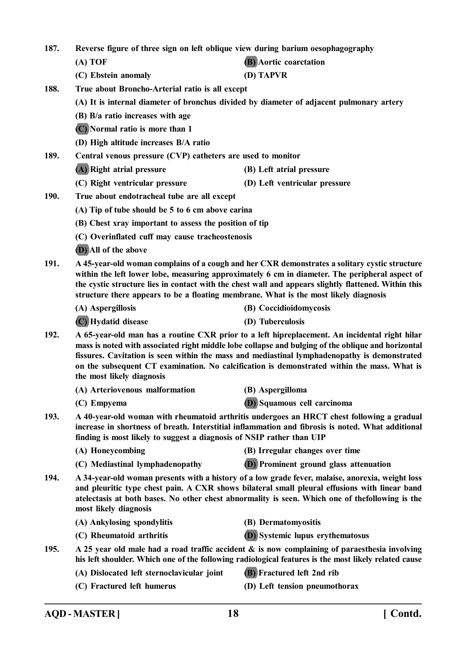**187. Reverse figure of three sign on left oblique view during barium oesophagography (A) TOF (B) Aortic coarctation (C) Ebstein anomaly (D) TAPVR 188. True about Broncho-Arterial ratio is all except (A) It is internal diameter of bronchus divided by diameter of adjacent pulmonary artery (B) B/a ratio increases with age (C) Normal ratio is more than 1 (D) High altitude increases B/A ratio 189. Central venous pressure (CVP) catheters are used to monitor (A) Right atrial pressure (B) Left atrial pressure (C) Right ventricular pressure (D) Left ventricular pressure 190. True about endotracheal tube are all except (A) Tip of tube should be 5 to 6 cm above carina (B) Chest xray important to assess the position of tip (C) Overinflated cuff may cause tracheostenosis (D) All of the above 191. A 45-year-old woman complains of a cough and her CXR demonstrates a solitary cystic structure**

**within the left lower lobe, measuring approximately 6 cm in diameter. The peripheral aspect of the cystic structure lies in contact with the chest wall and appears slightly flattened. Within this structure there appears to be a floating membrane. What is the most likely diagnosis**

**(A) Aspergillosis (B) Coccidioidomycosis**

**(C) Hydatid disease (D) Tuberculosis**

- **192. A 65-year-old man has a routine CXR prior to a left hipreplacement. An incidental right hilar mass is noted with associated right middle lobe collapse and bulging of the oblique and horizontal fissures. Cavitation is seen within the mass and mediastinal lymphadenopathy is demonstrated on the subsequent CT examination. No calcification is demonstrated within the mass. What is the most likely diagnosis**
	- **(A) Arteriovenous malformation (B) Aspergilloma**
	-
- 
- **(C) Empyema (D) Squamous cell carcinoma**
- **193. A 40-year-old woman with rheumatoid arthritis undergoes an HRCT chest following a gradual increase in shortness of breath. Interstitial inflammation and fibrosis is noted. What additional finding is most likely to suggest a diagnosis of NSIP rather than UIP**
	- **(A) Honeycombing (B) Irregular changes over time**
	- **(C) Mediastinal lymphadenopathy (D) Prominent ground glass attenuation**
- **194. A 34-year-old woman presents with a history of a low grade fever, malaise, anorexia, weight loss and pleuritic type chest pain. A CXR shows bilateral small pleural effusions with linear band atelectasis at both bases. No other chest abnormality is seen. Which one of thefollowing is the most likely diagnosis**
	- **(A) Ankylosing spondylitis (B) Dermatomyositis**
		-
	-
- 
- 
- 
- **(C) Rheumatoid arthritis (D) Systemic lupus erythematosus**
- **195. A 25 year old male had a road traffic accident & is now complaining of paraesthesia involving his left shoulder. Which one of the following radiological features is the most likely related cause**
	- **(A) Dislocated left sternoclavicular joint (B) Fractured left 2nd rib**
	-
	- **(C) Fractured left humerus (D) Left tension pneumothorax**